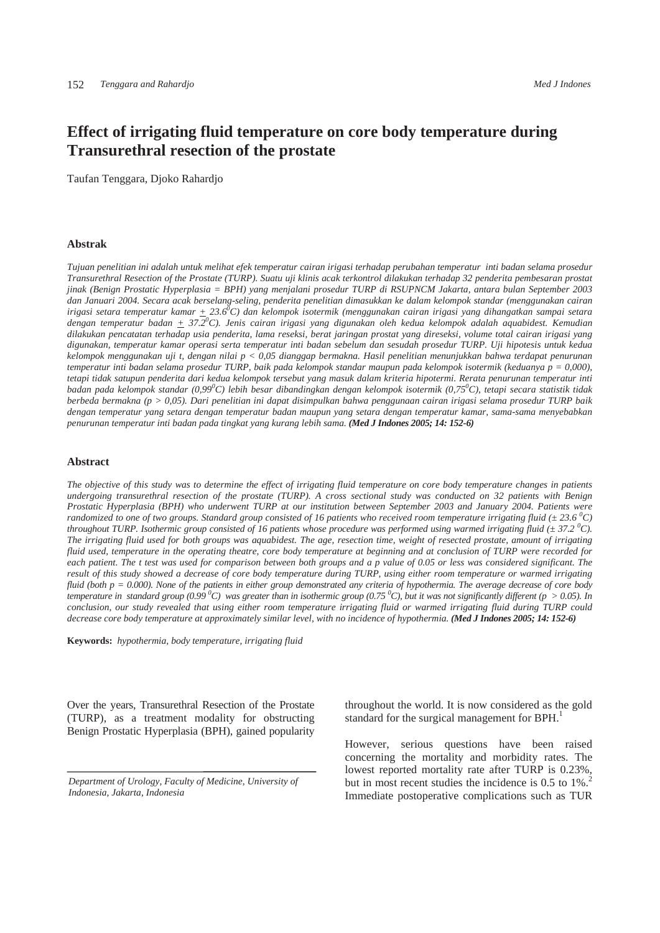# **Effect of irrigating fluid temperature on core body temperature during Transurethral resection of the prostate**

Taufan Tenggara, Djoko Rahardjo

#### **Abstrak**

*Tujuan penelitian ini adalah untuk melihat efek temperatur cairan irigasi terhadap perubahan temperatur inti badan selama prosedur Transurethral Resection of the Prostate (TURP). Suatu uji klinis acak terkontrol dilakukan terhadap 32 penderita pembesaran prostat jinak (Benign Prostatic Hyperplasia = BPH) yang menjalani prosedur TURP di RSUPNCM Jakarta, antara bulan September 2003 dan Januari 2004. Secara acak berselang-seling, penderita penelitian dimasukkan ke dalam kelompok standar (menggunakan cairan irigasi setara temperatur kamar + 23.60 C) dan kelompok isotermik (menggunakan cairan irigasi yang dihangatkan sampai setara dengan temperatur badan + 37.20 C). Jenis cairan irigasi yang digunakan oleh kedua kelompok adalah aquabidest. Kemudian dilakukan pencatatan terhadap usia penderita, lama reseksi, berat jaringan prostat yang direseksi, volume total cairan irigasi yang digunakan, temperatur kamar operasi serta temperatur inti badan sebelum dan sesudah prosedur TURP. Uji hipotesis untuk kedua kelompok menggunakan uji t, dengan nilai p < 0,05 dianggap bermakna. Hasil penelitian menunjukkan bahwa terdapat penurunan temperatur inti badan selama prosedur TURP, baik pada kelompok standar maupun pada kelompok isotermik (keduanya p = 0,000), tetapi tidak satupun penderita dari kedua kelompok tersebut yang masuk dalam kriteria hipotermi. Rerata penurunan temperatur inti badan pada kelompok standar (0,99<sup>0</sup> C) lebih besar dibandingkan dengan kelompok isotermik (0,750 C), tetapi secara statistik tidak berbeda bermakna (p > 0,05). Dari penelitian ini dapat disimpulkan bahwa penggunaan cairan irigasi selama prosedur TURP baik dengan temperatur yang setara dengan temperatur badan maupun yang setara dengan temperatur kamar, sama-sama menyebabkan penurunan temperatur inti badan pada tingkat yang kurang lebih sama. (Med J Indones 2005; 14: 152-6)*

#### **Abstract**

*The objective of this study was to determine the effect of irrigating fluid temperature on core body temperature changes in patients undergoing transurethral resection of the prostate (TURP). A cross sectional study was conducted on 32 patients with Benign Prostatic Hyperplasia (BPH) who underwent TURP at our institution between September 2003 and January 2004. Patients were randomized to one of two groups. Standard group consisted of 16 patients who received room temperature irrigating fluid (* $\pm 23.6$  *°C) throughout TURP. Isothermic group consisted of 16 patients whose procedure was performed using warmed irrigating fluid (± 37.2 <sup>0</sup> C). The irrigating fluid used for both groups was aquabidest. The age, resection time, weight of resected prostate, amount of irrigating fluid used, temperature in the operating theatre, core body temperature at beginning and at conclusion of TURP were recorded for each patient. The t test was used for comparison between both groups and a p value of 0.05 or less was considered significant. The result of this study showed a decrease of core body temperature during TURP, using either room temperature or warmed irrigating fluid (both p = 0.000). None of the patients in either group demonstrated any criteria of hypothermia. The average decrease of core body temperature in standard group* (0.99 <sup>o</sup>C) was greater than in isothermic group (0.75 <sup>o</sup>C), but it was not significantly different (p > 0.05). In *conclusion, our study revealed that using either room temperature irrigating fluid or warmed irrigating fluid during TURP could decrease core body temperature at approximately similar level, with no incidence of hypothermia. (Med J Indones 2005; 14: 152-6)*

**Keywords:** *hypothermia, body temperature, irrigating fluid* 

Over the years, Transurethral Resection of the Prostate (TURP), as a treatment modality for obstructing Benign Prostatic Hyperplasia (BPH), gained popularity

*Department of Urology, Faculty of Medicine, University of Indonesia, Jakarta, Indonesia* 

throughout the world. It is now considered as the gold standard for the surgical management for BPH.<sup>1</sup>

However, serious questions have been raised concerning the mortality and morbidity rates. The lowest reported mortality rate after TURP is 0.23%, but in most recent studies the incidence is  $0.5$  to  $1\%$ .<sup>2</sup> Immediate postoperative complications such as TUR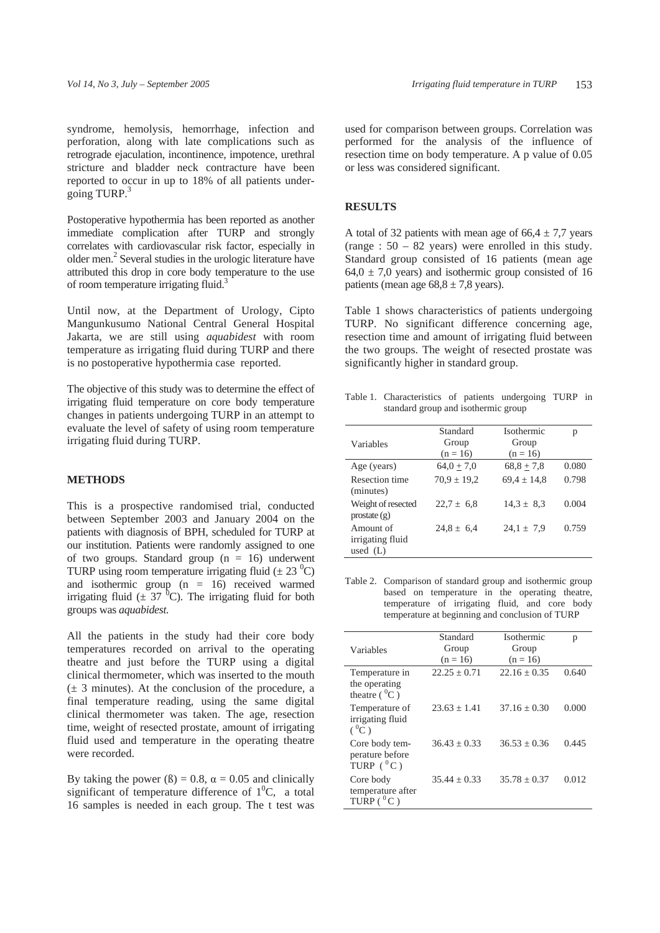syndrome, hemolysis, hemorrhage, infection and perforation, along with late complications such as retrograde ejaculation, incontinence, impotence, urethral stricture and bladder neck contracture have been reported to occur in up to 18% of all patients undergoing TURP.<sup>3</sup>

Postoperative hypothermia has been reported as another immediate complication after TURP and strongly correlates with cardiovascular risk factor, especially in older men.<sup>2</sup> Several studies in the urologic literature have attributed this drop in core body temperature to the use of room temperature irrigating fluid.<sup>3</sup>

Until now, at the Department of Urology, Cipto Mangunkusumo National Central General Hospital Jakarta, we are still using *aquabidest* with room temperature as irrigating fluid during TURP and there is no postoperative hypothermia case reported.

The objective of this study was to determine the effect of irrigating fluid temperature on core body temperature changes in patients undergoing TURP in an attempt to evaluate the level of safety of using room temperature irrigating fluid during TURP.

# **METHODS**

This is a prospective randomised trial, conducted between September 2003 and January 2004 on the patients with diagnosis of BPH, scheduled for TURP at our institution. Patients were randomly assigned to one of two groups. Standard group  $(n = 16)$  underwent TURP using room temperature irrigating fluid  $(\pm 23 \degree C)$ and isothermic group  $(n = 16)$  received warmed irrigating fluid ( $\pm$  37 <sup>0</sup>C). The irrigating fluid for both groups was *aquabidest.*

All the patients in the study had their core body temperatures recorded on arrival to the operating theatre and just before the TURP using a digital clinical thermometer, which was inserted to the mouth  $(\pm 3$  minutes). At the conclusion of the procedure, a final temperature reading, using the same digital clinical thermometer was taken. The age, resection time, weight of resected prostate, amount of irrigating fluid used and temperature in the operating theatre were recorded.

By taking the power ( $\beta$ ) = 0.8,  $\alpha$  = 0.05 and clinically significant of temperature difference of  $1^0C$ , a total 16 samples is needed in each group. The t test was

used for comparison between groups. Correlation was performed for the analysis of the influence of resection time on body temperature. A p value of 0.05 or less was considered significant.

# **RESULTS**

A total of 32 patients with mean age of  $66.4 \pm 7.7$  years (range : 50 – 82 years) were enrolled in this study. Standard group consisted of 16 patients (mean age  $64,0 \pm 7,0$  years) and isothermic group consisted of 16 patients (mean age  $68.8 \pm 7.8$  years).

Table 1 shows characteristics of patients undergoing TURP. No significant difference concerning age, resection time and amount of irrigating fluid between the two groups. The weight of resected prostate was significantly higher in standard group.

Table 1. Characteristics of patients undergoing TURP in standard group and isothermic group

| Variables                                   | Standard<br>Group<br>$(n = 16)$ | <b>Isothermic</b><br>Group<br>$(n = 16)$ | р     |
|---------------------------------------------|---------------------------------|------------------------------------------|-------|
| Age (years)                                 | $64.0 + 7.0$                    | $68,8+7,8$                               | 0.080 |
| Resection time<br>(minutes)                 | $70.9 \pm 19.2$                 | $69.4 \pm 14.8$                          | 0.798 |
| Weight of resected<br>prostate $(g)$        | $22.7 \pm 6.8$                  | $14.3 \pm 8.3$                           | 0.004 |
| Amount of<br>irrigating fluid<br>used $(L)$ | $24.8 \pm 6.4$                  | $24.1 \pm 7.9$                           | 0.759 |

Table 2. Comparison of standard group and isothermic group based on temperature in the operating theatre, temperature of irrigating fluid, and core body temperature at beginning and conclusion of TURP

| Variables                                            | Standard<br>Group | <i>Isothermic</i><br>Group | р     |
|------------------------------------------------------|-------------------|----------------------------|-------|
|                                                      | $(n = 16)$        | $(n = 16)$                 |       |
| Temperature in<br>the operating<br>theatre $(^{0}C)$ | $22.25 + 0.71$    | $22.16 + 0.35$             | 0.640 |
| Temperature of<br>irrigating fluid<br>$(^0C)$        | $23.63 + 1.41$    | $37.16 + 0.30$             | 0.000 |
| Core body tem-<br>perature before<br>TURP $(^0C)$    | $36.43 + 0.33$    | $36.53 + 0.36$             | 0.445 |
| Core body<br>temperature after<br>TURP ( $^0$ C)     | $35.44 + 0.33$    | $35.78 + 0.37$             | 0.012 |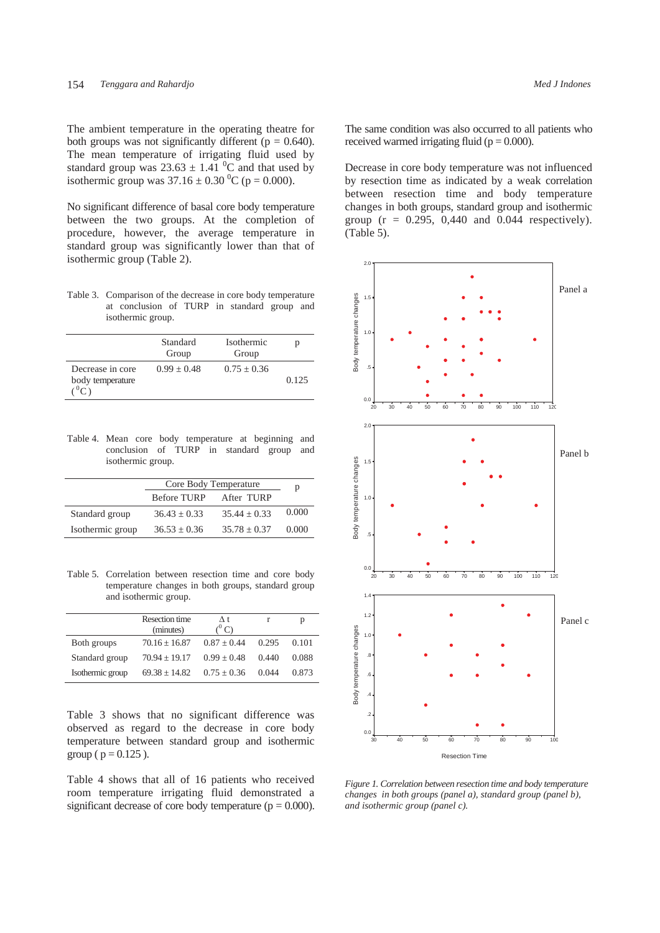The ambient temperature in the operating theatre for both groups was not significantly different ( $p = 0.640$ ). The mean temperature of irrigating fluid used by standard group was  $23.63 \pm 1.41$  <sup>0</sup>C and that used by isothermic group was  $37.16 \pm 0.30$  °C (p = 0.000).

No significant difference of basal core body temperature between the two groups. At the completion of procedure, however, the average temperature in standard group was significantly lower than that of isothermic group (Table 2).

Table 3. Comparison of the decrease in core body temperature at conclusion of TURP in standard group and isothermic group.

|                                                                         | Standard<br>Group | <i>Isothermic</i><br>Group | D     |
|-------------------------------------------------------------------------|-------------------|----------------------------|-------|
| Decrease in core<br>body temperature<br>$C$ <sup>0</sup> C <sup>)</sup> | $0.99 + 0.48$     | $0.75 + 0.36$              | 0.125 |

Table 4. Mean core body temperature at beginning and conclusion of TURP in standard group and isothermic group.

|                  | Core Body Temperature |                | p     |
|------------------|-----------------------|----------------|-------|
|                  | Before TURP           | After TURP     |       |
| Standard group   | $36.43 + 0.33$        | $35.44 + 0.33$ | 0.000 |
| Isothermic group | $36.53 + 0.36$        | $35.78 + 0.37$ | 0.000 |

Table 5. Correlation between resection time and core body temperature changes in both groups, standard group and isothermic group.

|                  | Resection time<br>(minutes) | Λt<br>$\rm ^{0}$ C) |       | р     |
|------------------|-----------------------------|---------------------|-------|-------|
| Both groups      | $70.16 \pm 16.87$           | $0.87 \pm 0.44$     | 0.295 | 0.101 |
| Standard group   | $70.94 + 19.17$             | $0.99 + 0.48$       | 0.440 | 0.088 |
| Isothermic group | $69.38 + 14.82$             | $0.75 \pm 0.36$     | 0.044 | 0.873 |

Table 3 shows that no significant difference was observed as regard to the decrease in core body temperature between standard group and isothermic group ( $p = 0.125$ ).

Table 4 shows that all of 16 patients who received room temperature irrigating fluid demonstrated a significant decrease of core body temperature ( $p = 0.000$ ). The same condition was also occurred to all patients who received warmed irrigating fluid ( $p = 0.000$ ).

Decrease in core body temperature was not influenced by resection time as indicated by a weak correlation between resection time and body temperature changes in both groups, standard group and isothermic group  $(r = 0.295, 0.440, \text{ and } 0.044, \text{ respectively}).$ (Table 5).



*Figure 1. Correlation between resection time and body temperature changes in both groups (panel a), standard group (panel b), and isothermic group (panel c).*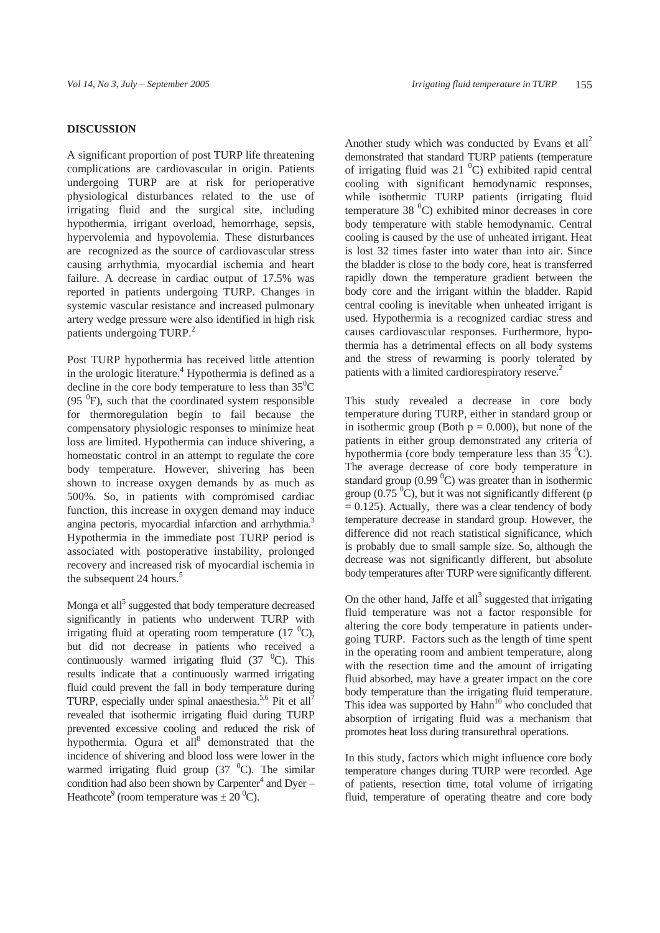## **DISCUSSION**

A significant proportion of post TURP life threatening complications are cardiovascular in origin. Patients undergoing TURP are at risk for perioperative physiological disturbances related to the use of irrigating fluid and the surgical site, including hypothermia, irrigant overload, hemorrhage, sepsis, hypervolemia and hypovolemia. These disturbances are recognized as the source of cardiovascular stress causing arrhythmia, myocardial ischemia and heart failure. A decrease in cardiac output of 17.5% was reported in patients undergoing TURP. Changes in systemic vascular resistance and increased pulmonary artery wedge pressure were also identified in high risk patients undergoing TURP.<sup>2</sup>

Post TURP hypothermia has received little attention in the urologic literature.<sup>4</sup> Hypothermia is defined as a decline in the core body temperature to less than  $35^{\circ}$ C  $(95<sup>0</sup>F)$ , such that the coordinated system responsible for thermoregulation begin to fail because the compensatory physiologic responses to minimize heat loss are limited. Hypothermia can induce shivering, a homeostatic control in an attempt to regulate the core body temperature. However, shivering has been shown to increase oxygen demands by as much as 500%. So, in patients with compromised cardiac function, this increase in oxygen demand may induce angina pectoris, myocardial infarction and arrhythmia.<sup>3</sup> Hypothermia in the immediate post TURP period is associated with postoperative instability, prolonged recovery and increased risk of myocardial ischemia in the subsequent 24 hours.<sup>5</sup>

Monga et all<sup>5</sup> suggested that body temperature decreased significantly in patients who underwent TURP with irrigating fluid at operating room temperature  $(17 \text{ } {}^{0}C)$ , but did not decrease in patients who received a continuously warmed irrigating fluid  $(37 \text{ } {}^{0}C)$ . This results indicate that a continuously warmed irrigating fluid could prevent the fall in body temperature during TURP, especially under spinal anaesthesia.<sup>5,6</sup> Pit et all<sup>7</sup> revealed that isothermic irrigating fluid during TURP prevented excessive cooling and reduced the risk of hypothermia. Ogura et all $^{8}$  demonstrated that the incidence of shivering and blood loss were lower in the warmed irrigating fluid group  $(37 \text{ } {}^{0}C)$ . The similar condition had also been shown by Carpenter<sup>4</sup> and Dyer – Heathcote<sup>9</sup> (room temperature was  $\pm 20^{\circ}$ C).

Another study which was conducted by Evans et  $all<sup>2</sup>$ demonstrated that standard TURP patients (temperature of irrigating fluid was  $21<sup>0</sup>C$ ) exhibited rapid central cooling with significant hemodynamic responses, while isothermic TURP patients (irrigating fluid temperature  $38\,^0$ C) exhibited minor decreases in core body temperature with stable hemodynamic. Central cooling is caused by the use of unheated irrigant. Heat is lost 32 times faster into water than into air. Since the bladder is close to the body core, heat is transferred rapidly down the temperature gradient between the body core and the irrigant within the bladder. Rapid central cooling is inevitable when unheated irrigant is used. Hypothermia is a recognized cardiac stress and causes cardiovascular responses. Furthermore, hypothermia has a detrimental effects on all body systems and the stress of rewarming is poorly tolerated by patients with a limited cardiorespiratory reserve.<sup>2</sup>

This study revealed a decrease in core body temperature during TURP, either in standard group or in isothermic group (Both  $p = 0.000$ ), but none of the patients in either group demonstrated any criteria of hypothermia (core body temperature less than  $35\text{ °C}$ ). The average decrease of core body temperature in standard group  $(0.99 \,^0\text{C})$  was greater than in isothermic group (0.75 $\mathrm{^0C}$ ), but it was not significantly different (p  $= 0.125$ ). Actually, there was a clear tendency of body temperature decrease in standard group. However, the difference did not reach statistical significance, which is probably due to small sample size. So, although the decrease was not significantly different, but absolute body temperatures after TURP were significantly different.

On the other hand, Jaffe et all<sup>3</sup> suggested that irrigating fluid temperature was not a factor responsible for altering the core body temperature in patients undergoing TURP. Factors such as the length of time spent in the operating room and ambient temperature, along with the resection time and the amount of irrigating fluid absorbed, may have a greater impact on the core body temperature than the irrigating fluid temperature. This idea was supported by  $\text{Hahn}^{10}$  who concluded that absorption of irrigating fluid was a mechanism that promotes heat loss during transurethral operations.

In this study, factors which might influence core body temperature changes during TURP were recorded. Age of patients, resection time, total volume of irrigating fluid, temperature of operating theatre and core body